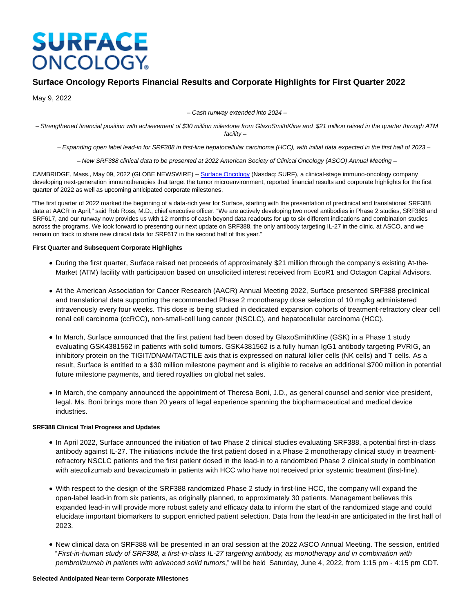# **SURFACE ONCOLOGY**

# **Surface Oncology Reports Financial Results and Corporate Highlights for First Quarter 2022**

May 9, 2022

– Cash runway extended into 2024 –

– Strengthened financial position with achievement of \$30 million milestone from GlaxoSmithKline and \$21 million raised in the quarter through ATM facility –

– Expanding open label lead-in for SRF388 in first-line hepatocellular carcinoma (HCC), with initial data expected in the first half of 2023 –

– New SRF388 clinical data to be presented at 2022 American Society of Clinical Oncology (ASCO) Annual Meeting –

CAMBRIDGE, Mass., May 09, 2022 (GLOBE NEWSWIRE) -[- Surface Oncology \(](https://www.globenewswire.com/Tracker?data=OfmgXvdEOfZGsM0RG1MioKjRgW2xhW8kNkaUaXYTbcTIZOansDHhksd0Yhb5uybq-mHGssA0CqdujQVpNojy6mgKo1c7rNwXA6gQw3-uPeI=)Nasdaq: SURF), a clinical-stage immuno-oncology company developing next-generation immunotherapies that target the tumor microenvironment, reported financial results and corporate highlights for the first quarter of 2022 as well as upcoming anticipated corporate milestones.

"The first quarter of 2022 marked the beginning of a data-rich year for Surface, starting with the presentation of preclinical and translational SRF388 data at AACR in April," said Rob Ross, M.D., chief executive officer. "We are actively developing two novel antibodies in Phase 2 studies, SRF388 and SRF617, and our runway now provides us with 12 months of cash beyond data readouts for up to six different indications and combination studies across the programs. We look forward to presenting our next update on SRF388, the only antibody targeting IL-27 in the clinic, at ASCO, and we remain on track to share new clinical data for SRF617 in the second half of this year."

# **First Quarter and Subsequent Corporate Highlights**

- During the first quarter, Surface raised net proceeds of approximately \$21 million through the company's existing At-the-Market (ATM) facility with participation based on unsolicited interest received from EcoR1 and Octagon Capital Advisors.
- At the American Association for Cancer Research (AACR) Annual Meeting 2022, Surface presented SRF388 preclinical and translational data supporting the recommended Phase 2 monotherapy dose selection of 10 mg/kg administered intravenously every four weeks. This dose is being studied in dedicated expansion cohorts of treatment-refractory clear cell renal cell carcinoma (ccRCC), non-small-cell lung cancer (NSCLC), and hepatocellular carcinoma (HCC).
- In March, Surface announced that the first patient had been dosed by GlaxoSmithKline (GSK) in a Phase 1 study evaluating GSK4381562 in patients with solid tumors. GSK4381562 is a fully human IgG1 antibody targeting PVRIG, an inhibitory protein on the TIGIT/DNAM/TACTILE axis that is expressed on natural killer cells (NK cells) and T cells. As a result, Surface is entitled to a \$30 million milestone payment and is eligible to receive an additional \$700 million in potential future milestone payments, and tiered royalties on global net sales.
- In March, the company announced the appointment of Theresa Boni, J.D., as general counsel and senior vice president, legal. Ms. Boni brings more than 20 years of legal experience spanning the biopharmaceutical and medical device industries.

# **SRF388 Clinical Trial Progress and Updates**

- In April 2022, Surface announced the initiation of two Phase 2 clinical studies evaluating SRF388, a potential first-in-class antibody against IL-27. The initiations include the first patient dosed in a Phase 2 monotherapy clinical study in treatmentrefractory NSCLC patients and the first patient dosed in the lead-in to a randomized Phase 2 clinical study in combination with atezolizumab and bevacizumab in patients with HCC who have not received prior systemic treatment (first-line).
- With respect to the design of the SRF388 randomized Phase 2 study in first-line HCC, the company will expand the open-label lead-in from six patients, as originally planned, to approximately 30 patients. Management believes this expanded lead-in will provide more robust safety and efficacy data to inform the start of the randomized stage and could elucidate important biomarkers to support enriched patient selection. Data from the lead-in are anticipated in the first half of 2023.
- New clinical data on SRF388 will be presented in an oral session at the 2022 ASCO Annual Meeting. The session, entitled "First-in-human study of SRF388, a first-in-class IL-27 targeting antibody, as monotherapy and in combination with pembrolizumab in patients with advanced solid tumors," will be held Saturday, June 4, 2022, from 1:15 pm - 4:15 pm CDT.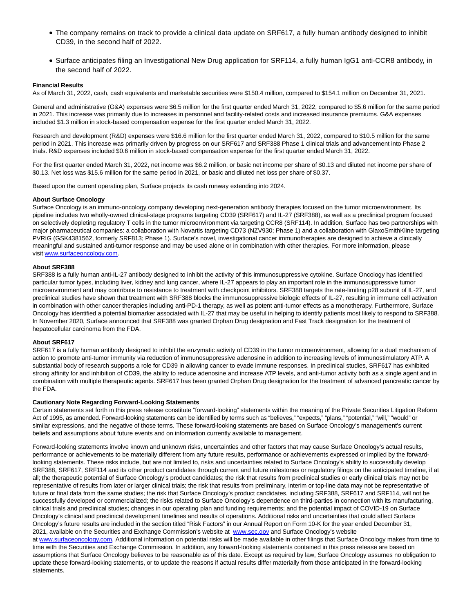- The company remains on track to provide a clinical data update on SRF617, a fully human antibody designed to inhibit CD39, in the second half of 2022.
- Surface anticipates filing an Investigational New Drug application for SRF114, a fully human IgG1 anti-CCR8 antibody, in the second half of 2022.

#### **Financial Results**

As of March 31, 2022, cash, cash equivalents and marketable securities were \$150.4 million, compared to \$154.1 million on December 31, 2021.

General and administrative (G&A) expenses were \$6.5 million for the first quarter ended March 31, 2022, compared to \$5.6 million for the same period in 2021. This increase was primarily due to increases in personnel and facility-related costs and increased insurance premiums. G&A expenses included \$1.3 million in stock-based compensation expense for the first quarter ended March 31, 2022.

Research and development (R&D) expenses were \$16.6 million for the first quarter ended March 31, 2022, compared to \$10.5 million for the same period in 2021. This increase was primarily driven by progress on our SRF617 and SRF388 Phase 1 clinical trials and advancement into Phase 2 trials. R&D expenses included \$0.6 million in stock-based compensation expense for the first quarter ended March 31, 2022.

For the first quarter ended March 31, 2022, net income was \$6.2 million, or basic net income per share of \$0.13 and diluted net income per share of \$0.13. Net loss was \$15.6 million for the same period in 2021, or basic and diluted net loss per share of \$0.37.

Based upon the current operating plan, Surface projects its cash runway extending into 2024.

#### **About Surface Oncology**

Surface Oncology is an immuno-oncology company developing next-generation antibody therapies focused on the tumor microenvironment. Its pipeline includes two wholly-owned clinical-stage programs targeting CD39 (SRF617) and IL-27 (SRF388), as well as a preclinical program focused on selectively depleting regulatory T cells in the tumor microenvironment via targeting CCR8 (SRF114). In addition, Surface has two partnerships with major pharmaceutical companies: a collaboration with Novartis targeting CD73 (NZV930; Phase 1) and a collaboration with GlaxoSmithKline targeting PVRIG (GSK4381562, formerly SRF813; Phase 1). Surface's novel, investigational cancer immunotherapies are designed to achieve a clinically meaningful and sustained anti-tumor response and may be used alone or in combination with other therapies. For more information, please visit [www.surfaceoncology.com.](https://www.globenewswire.com/Tracker?data=qlwZe2yNyCV73V9Z3Auo9bCrvE_4JPihPEAlDNgSXNyHDtxIC288K5b9s2j2VTLTfsGaEd7iGmOVZihKBb7b_yW8dY2mJvTo1bz29VL7Y_GOHmZ2vXUbYmq4c6DreWZ_iL1zoAJwRaSIxRfeiUPcqcm7GOy-XPE6KiIGr85T1nFzVqnpi7k5iiPBdBRyR_qyzaTGz2cvdijf365koUTiSLxWBt0O4_EnUGBYP2I15r5OgTAMJlmVBJMIW6TVjve_B2qWkjckcRnidzpHgJ93ug==)

#### **About SRF388**

SRF388 is a fully human anti-IL-27 antibody designed to inhibit the activity of this immunosuppressive cytokine. Surface Oncology has identified particular tumor types, including liver, kidney and lung cancer, where IL-27 appears to play an important role in the immunosuppressive tumor microenvironment and may contribute to resistance to treatment with checkpoint inhibitors. SRF388 targets the rate-limiting p28 subunit of IL-27, and preclinical studies have shown that treatment with SRF388 blocks the immunosuppressive biologic effects of IL-27, resulting in immune cell activation in combination with other cancer therapies including anti-PD-1 therapy, as well as potent anti-tumor effects as a monotherapy. Furthermore, Surface Oncology has identified a potential biomarker associated with IL-27 that may be useful in helping to identify patients most likely to respond to SRF388. In November 2020, Surface announced that SRF388 was granted Orphan Drug designation and Fast Track designation for the treatment of hepatocellular carcinoma from the FDA.

#### **About SRF617**

SRF617 is a fully human antibody designed to inhibit the enzymatic activity of CD39 in the tumor microenvironment, allowing for a dual mechanism of action to promote anti-tumor immunity via reduction of immunosuppressive adenosine in addition to increasing levels of immunostimulatory ATP. A substantial body of research supports a role for CD39 in allowing cancer to evade immune responses. In preclinical studies, SRF617 has exhibited strong affinity for and inhibition of CD39, the ability to reduce adenosine and increase ATP levels, and anti-tumor activity both as a single agent and in combination with multiple therapeutic agents. SRF617 has been granted Orphan Drug designation for the treatment of advanced pancreatic cancer by the FDA.

#### **Cautionary Note Regarding Forward-Looking Statements**

Certain statements set forth in this press release constitute "forward-looking" statements within the meaning of the Private Securities Litigation Reform Act of 1995, as amended. Forward-looking statements can be identified by terms such as "believes," "expects," "plans," "potential," "will," "would" or similar expressions, and the negative of those terms. These forward-looking statements are based on Surface Oncology's management's current beliefs and assumptions about future events and on information currently available to management.

Forward-looking statements involve known and unknown risks, uncertainties and other factors that may cause Surface Oncology's actual results, performance or achievements to be materially different from any future results, performance or achievements expressed or implied by the forwardlooking statements. These risks include, but are not limited to, risks and uncertainties related to Surface Oncology's ability to successfully develop SRF388, SRF617, SRF114 and its other product candidates through current and future milestones or regulatory filings on the anticipated timeline, if at all; the therapeutic potential of Surface Oncology's product candidates; the risk that results from preclinical studies or early clinical trials may not be representative of results from later or larger clinical trials; the risk that results from preliminary, interim or top-line data may not be representative of future or final data from the same studies; the risk that Surface Oncology's product candidates, including SRF388, SRF617 and SRF114, will not be successfully developed or commercialized; the risks related to Surface Oncology's dependence on third-parties in connection with its manufacturing, clinical trials and preclinical studies; changes in our operating plan and funding requirements; and the potential impact of COVID-19 on Surface Oncology's clinical and preclinical development timelines and results of operations. Additional risks and uncertainties that could affect Surface Oncology's future results are included in the section titled "Risk Factors" in our Annual Report on Form 10-K for the year ended December 31, 2021, available on the Securities and Exchange Commission's website at [www.sec.gov a](https://www.globenewswire.com/Tracker?data=bMwZWwCapTiB4qKnCdWfyo3sqrs99eD9rAX5gJxw__6R4sXJcebUAFc3HeG_fjHVQ2-un9x28hK78ZkdyjZlzSjOkOCOsjasR0luMJ05cwc0PQc9DcBZSDtMhJ-FhvwN9OcHS5l81jFzCpSFs9RsOLZaMDca52HRLEpnYXaDu-dQIdCR7JwL_wP3kQV6vL4KdaxjRmcGynnnpRDC19cmzYQbkEz-_MfRwC0QUWgE5_s=)nd Surface Oncology's website

at [www.surfaceoncology.com.](https://www.globenewswire.com/Tracker?data=qlwZe2yNyCV73V9Z3Auo9bCrvE_4JPihPEAlDNgSXNyYpMR_A2Ycvfc6tuaYST-kFIQuGGJ7hkHuuUPXG8MTWl-cJ3_pqEB5D2WxxPyp0C0DkCQmIZTVqtKfWOwTw7fK_NGJCFfWwgb4pk7LS8Brewlgew190zBCQN_-CL07d1lzI3r2gH6xF5bzllwlgTul-YLUU2MliuJAZiAn4Sze4g2kfR1uPQvh23ZlGtbP_61vV98dk_IJEZHC604IUeo7PLaxJk4bHGkvm27B0_BP0w==) Additional information on potential risks will be made available in other filings that Surface Oncology makes from time to time with the Securities and Exchange Commission. In addition, any forward-looking statements contained in this press release are based on assumptions that Surface Oncology believes to be reasonable as of this date. Except as required by law, Surface Oncology assumes no obligation to update these forward-looking statements, or to update the reasons if actual results differ materially from those anticipated in the forward-looking statements.